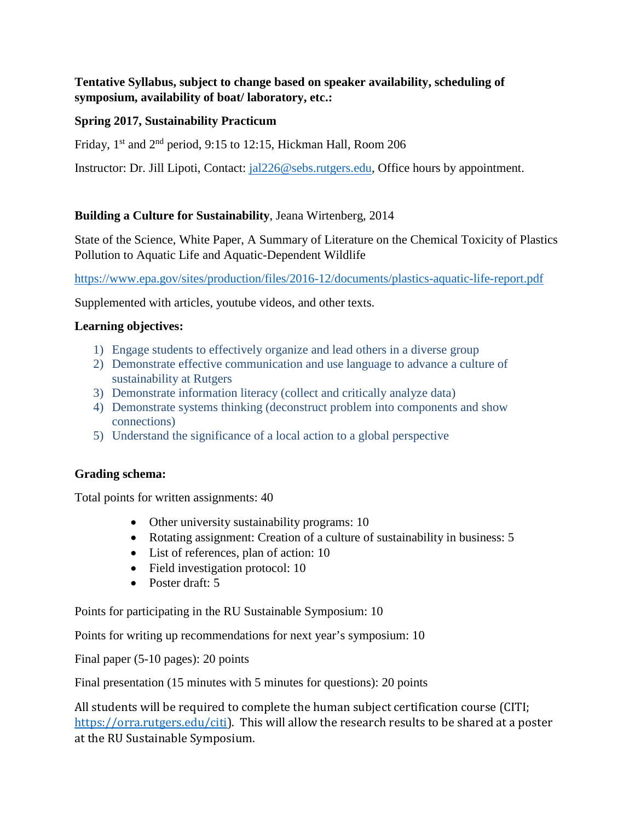# **Tentative Syllabus, subject to change based on speaker availability, scheduling of symposium, availability of boat/ laboratory, etc.:**

# **Spring 2017, Sustainability Practicum**

Friday,  $1<sup>st</sup>$  and  $2<sup>nd</sup>$  period, 9:15 to 12:15, Hickman Hall, Room 206

Instructor: Dr. Jill Lipoti, Contact: [jal226@sebs.rutgers.edu,](mailto:jal226@sebs.rutgers.edu) Office hours by appointment.

# **Building a Culture for Sustainability**, Jeana Wirtenberg, 2014

State of the Science, White Paper, A Summary of Literature on the Chemical Toxicity of Plastics Pollution to Aquatic Life and Aquatic-Dependent Wildlife

<https://www.epa.gov/sites/production/files/2016-12/documents/plastics-aquatic-life-report.pdf>

Supplemented with articles, youtube videos, and other texts.

#### **Learning objectives:**

- 1) Engage students to effectively organize and lead others in a diverse group
- 2) Demonstrate effective communication and use language to advance a culture of sustainability at Rutgers
- 3) Demonstrate information literacy (collect and critically analyze data)
- 4) Demonstrate systems thinking (deconstruct problem into components and show connections)
- 5) Understand the significance of a local action to a global perspective

# **Grading schema:**

Total points for written assignments: 40

- Other university sustainability programs: 10
- Rotating assignment: Creation of a culture of sustainability in business: 5
- List of references, plan of action: 10
- Field investigation protocol: 10
- Poster draft: 5

Points for participating in the RU Sustainable Symposium: 10

Points for writing up recommendations for next year's symposium: 10

Final paper (5-10 pages): 20 points

Final presentation (15 minutes with 5 minutes for questions): 20 points

All students will be required to complete the human subject certification course (CITI; [https://orra.rutgers.edu/citi\)](https://orra.rutgers.edu/citi). This will allow the research results to be shared at a poster at the RU Sustainable Symposium.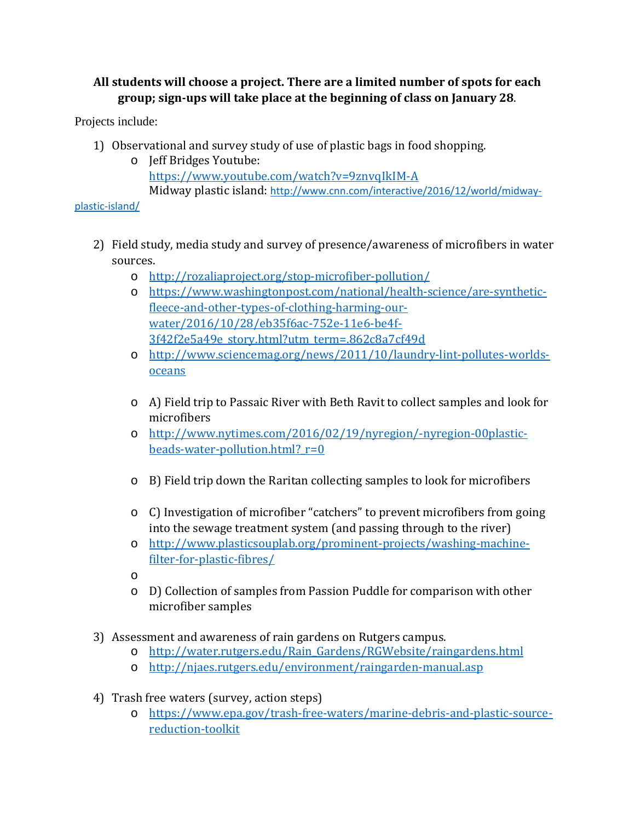# **All students will choose a project. There are a limited number of spots for each group; sign-ups will take place at the beginning of class on January 28**.

Projects include:

- 1) Observational and survey study of use of plastic bags in food shopping.
	- o Jeff Bridges Youtube: <https://www.youtube.com/watch?v=9znvqIkIM-A> Midway plastic island: [http://www.cnn.com/interactive/2016/12/world/midway-](http://www.cnn.com/interactive/2016/12/world/midway-plastic-island/)

[plastic-island/](http://www.cnn.com/interactive/2016/12/world/midway-plastic-island/)

- 2) Field study, media study and survey of presence/awareness of microfibers in water sources.
	- o <http://rozaliaproject.org/stop-microfiber-pollution/>
	- o [https://www.washingtonpost.com/national/health-science/are-synthetic](https://www.washingtonpost.com/national/health-science/are-synthetic-fleece-and-other-types-of-clothing-harming-our-water/2016/10/28/eb35f6ac-752e-11e6-be4f-3f42f2e5a49e_story.html?utm_term=.862c8a7cf49d)[fleece-and-other-types-of-clothing-harming-our](https://www.washingtonpost.com/national/health-science/are-synthetic-fleece-and-other-types-of-clothing-harming-our-water/2016/10/28/eb35f6ac-752e-11e6-be4f-3f42f2e5a49e_story.html?utm_term=.862c8a7cf49d)[water/2016/10/28/eb35f6ac-752e-11e6-be4f-](https://www.washingtonpost.com/national/health-science/are-synthetic-fleece-and-other-types-of-clothing-harming-our-water/2016/10/28/eb35f6ac-752e-11e6-be4f-3f42f2e5a49e_story.html?utm_term=.862c8a7cf49d)[3f42f2e5a49e\\_story.html?utm\\_term=.862c8a7cf49d](https://www.washingtonpost.com/national/health-science/are-synthetic-fleece-and-other-types-of-clothing-harming-our-water/2016/10/28/eb35f6ac-752e-11e6-be4f-3f42f2e5a49e_story.html?utm_term=.862c8a7cf49d)
	- o [http://www.sciencemag.org/news/2011/10/laundry-lint-pollutes-worlds](http://www.sciencemag.org/news/2011/10/laundry-lint-pollutes-worlds-oceans)[oceans](http://www.sciencemag.org/news/2011/10/laundry-lint-pollutes-worlds-oceans)
	- o A) Field trip to Passaic River with Beth Ravit to collect samples and look for microfibers
	- o [http://www.nytimes.com/2016/02/19/nyregion/-nyregion-00plastic](http://www.nytimes.com/2016/02/19/nyregion/-nyregion-00plastic-beads-water-pollution.html?_r=0)beads-water-pollution.html?  $r=0$
	- o B) Field trip down the Raritan collecting samples to look for microfibers
	- o C) Investigation of microfiber "catchers" to prevent microfibers from going into the sewage treatment system (and passing through to the river)
	- o [http://www.plasticsouplab.org/prominent-projects/washing-machine](http://www.plasticsouplab.org/prominent-projects/washing-machine-filter-for-plastic-fibres/)[filter-for-plastic-fibres/](http://www.plasticsouplab.org/prominent-projects/washing-machine-filter-for-plastic-fibres/)
	- o
	- o D) Collection of samples from Passion Puddle for comparison with other microfiber samples
- 3) Assessment and awareness of rain gardens on Rutgers campus.
	- o [http://water.rutgers.edu/Rain\\_Gardens/RGWebsite/raingardens.html](http://water.rutgers.edu/Rain_Gardens/RGWebsite/raingardens.html)
	- o <http://njaes.rutgers.edu/environment/raingarden-manual.asp>
- 4) Trash free waters (survey, action steps)
	- o [https://www.epa.gov/trash-free-waters/marine-debris-and-plastic-source](https://www.epa.gov/trash-free-waters/marine-debris-and-plastic-source-reduction-toolkit)[reduction-toolkit](https://www.epa.gov/trash-free-waters/marine-debris-and-plastic-source-reduction-toolkit)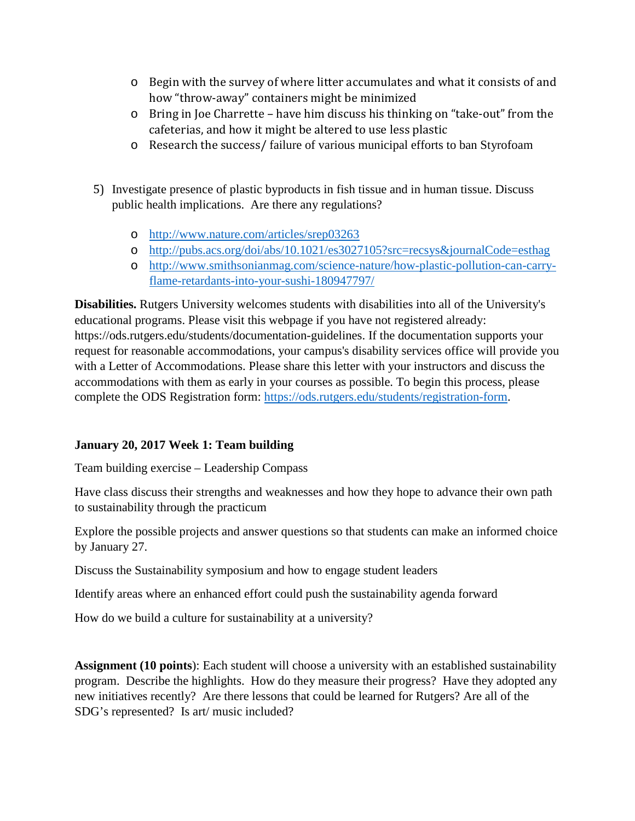- o Begin with the survey of where litter accumulates and what it consists of and how "throw-away" containers might be minimized
- o Bring in Joe Charrette have him discuss his thinking on "take-out" from the cafeterias, and how it might be altered to use less plastic
- o Research the success/ failure of various municipal efforts to ban Styrofoam
- 5) Investigate presence of plastic byproducts in fish tissue and in human tissue. Discuss public health implications. Are there any regulations?
	- o <http://www.nature.com/articles/srep03263>
	- o <http://pubs.acs.org/doi/abs/10.1021/es3027105?src=recsys&journalCode=esthag>
	- o [http://www.smithsonianmag.com/science-nature/how-plastic-pollution-can-carry](http://www.smithsonianmag.com/science-nature/how-plastic-pollution-can-carry-flame-retardants-into-your-sushi-180947797/)[flame-retardants-into-your-sushi-180947797/](http://www.smithsonianmag.com/science-nature/how-plastic-pollution-can-carry-flame-retardants-into-your-sushi-180947797/)

**Disabilities.** Rutgers University welcomes students with disabilities into all of the University's educational programs. Please visit this webpage if you have not registered already: https://ods.rutgers.edu/students/documentation-guidelines. If the documentation supports your request for reasonable accommodations, your campus's disability services office will provide you with a Letter of Accommodations. Please share this letter with your instructors and discuss the accommodations with them as early in your courses as possible. To begin this process, please complete the ODS Registration form: [https://ods.rutgers.edu/students/registration-form.](https://ods.rutgers.edu/students/registration-form)

# **January 20, 2017 Week 1: Team building**

Team building exercise – Leadership Compass

Have class discuss their strengths and weaknesses and how they hope to advance their own path to sustainability through the practicum

Explore the possible projects and answer questions so that students can make an informed choice by January 27.

Discuss the Sustainability symposium and how to engage student leaders

Identify areas where an enhanced effort could push the sustainability agenda forward

How do we build a culture for sustainability at a university?

**Assignment (10 points**): Each student will choose a university with an established sustainability program. Describe the highlights. How do they measure their progress? Have they adopted any new initiatives recently? Are there lessons that could be learned for Rutgers? Are all of the SDG's represented? Is art/ music included?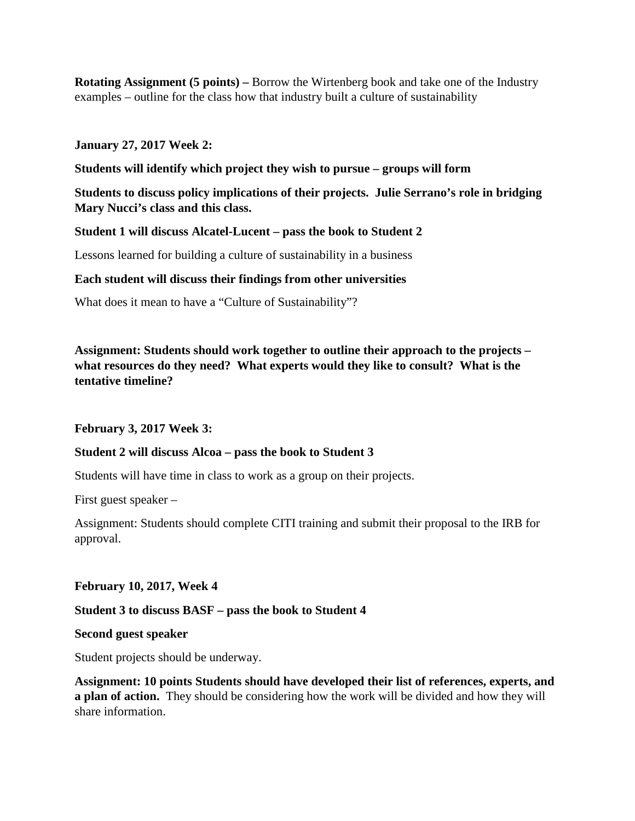**Rotating Assignment (5 points) –** Borrow the Wirtenberg book and take one of the Industry examples – outline for the class how that industry built a culture of sustainability

#### **January 27, 2017 Week 2:**

**Students will identify which project they wish to pursue – groups will form**

**Students to discuss policy implications of their projects. Julie Serrano's role in bridging Mary Nucci's class and this class.** 

#### **Student 1 will discuss Alcatel-Lucent – pass the book to Student 2**

Lessons learned for building a culture of sustainability in a business

#### **Each student will discuss their findings from other universities**

What does it mean to have a "Culture of Sustainability"?

**Assignment: Students should work together to outline their approach to the projects – what resources do they need? What experts would they like to consult? What is the tentative timeline?** 

**February 3, 2017 Week 3:**

#### **Student 2 will discuss Alcoa – pass the book to Student 3**

Students will have time in class to work as a group on their projects.

First guest speaker –

Assignment: Students should complete CITI training and submit their proposal to the IRB for approval.

#### **February 10, 2017, Week 4**

#### **Student 3 to discuss BASF – pass the book to Student 4**

**Second guest speaker**

Student projects should be underway.

**Assignment: 10 points Students should have developed their list of references, experts, and a plan of action.** They should be considering how the work will be divided and how they will share information.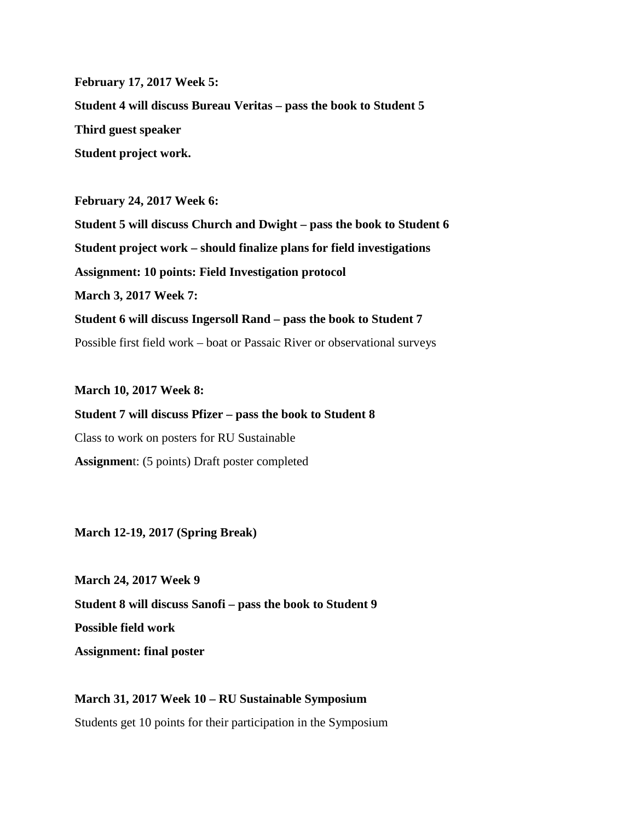**February 17, 2017 Week 5: Student 4 will discuss Bureau Veritas – pass the book to Student 5 Third guest speaker Student project work.** 

**February 24, 2017 Week 6: Student 5 will discuss Church and Dwight – pass the book to Student 6 Student project work – should finalize plans for field investigations Assignment: 10 points: Field Investigation protocol March 3, 2017 Week 7: Student 6 will discuss Ingersoll Rand – pass the book to Student 7** Possible first field work – boat or Passaic River or observational surveys

**March 10, 2017 Week 8:**

**Student 7 will discuss Pfizer – pass the book to Student 8** Class to work on posters for RU Sustainable **Assignmen**t: (5 points) Draft poster completed

**March 12-19, 2017 (Spring Break)**

**March 24, 2017 Week 9 Student 8 will discuss Sanofi – pass the book to Student 9 Possible field work Assignment: final poster**

**March 31, 2017 Week 10 – RU Sustainable Symposium** Students get 10 points for their participation in the Symposium